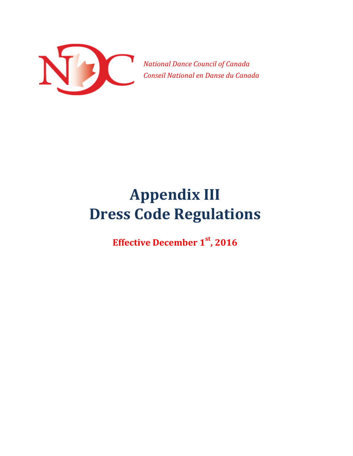

 *National Dance Council of Canada Conseil National en Danse du Canada*

## **Appendix III Dress Code Regulations**

**Effective December 1st, 2016**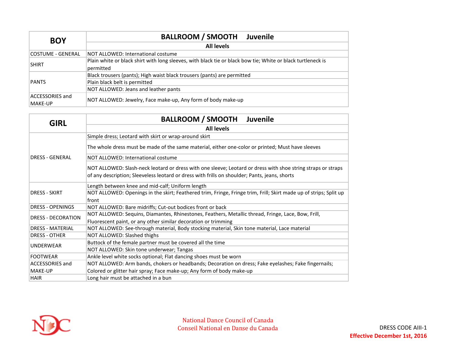| <b>BOY</b>                 | <b>BALLROOM / SMOOTH Juvenile</b>                                                                                        |  |
|----------------------------|--------------------------------------------------------------------------------------------------------------------------|--|
|                            | <b>All levels</b>                                                                                                        |  |
| COSTUME - GENERAL          | NOT ALLOWED: International costume                                                                                       |  |
| <b>SHIRT</b>               | Plain white or black shirt with long sleeves, with black tie or black bow tie; White or black turtleneck is<br>permitted |  |
|                            | Black trousers (pants); High waist black trousers (pants) are permitted                                                  |  |
| PANTS                      | Plain black belt is permitted                                                                                            |  |
|                            | NOT ALLOWED: Jeans and leather pants                                                                                     |  |
| ACCESSORIES and<br>MAKE-UP | NOT ALLOWED: Jewelry, Face make-up, Any form of body make-up                                                             |  |

| <b>GIRL</b>               | <b>BALLROOM / SMOOTH</b><br><b>Juvenile</b>                                                                       |  |  |
|---------------------------|-------------------------------------------------------------------------------------------------------------------|--|--|
|                           | <b>All levels</b>                                                                                                 |  |  |
|                           | Simple dress; Leotard with skirt or wrap-around skirt                                                             |  |  |
|                           | The whole dress must be made of the same material, either one-color or printed; Must have sleeves                 |  |  |
| <b>DRESS - GENERAL</b>    | NOT ALLOWED: International costume                                                                                |  |  |
|                           | NOT ALLOWED: Slash-neck leotard or dress with one sleeve; Leotard or dress with shoe string straps or straps      |  |  |
|                           | of any description; Sleeveless leotard or dress with frills on shoulder; Pants, jeans, shorts                     |  |  |
|                           | Length between knee and mid-calf; Uniform length                                                                  |  |  |
| <b>DRESS - SKIRT</b>      | NOT ALLOWED: Openings in the skirt; Feathered trim, Fringe, Fringe trim, Frill; Skirt made up of strips; Split up |  |  |
|                           | front                                                                                                             |  |  |
| <b>DRESS - OPENINGS</b>   | NOT ALLOWED: Bare midriffs; Cut-out bodices front or back                                                         |  |  |
| <b>DRESS - DECORATION</b> | NOT ALLOWED: Sequins, Diamantes, Rhinestones, Feathers, Metallic thread, Fringe, Lace, Bow, Frill,                |  |  |
|                           | Fluorescent paint, or any other similar decoration or trimming                                                    |  |  |
| <b>DRESS - MATERIAL</b>   | NOT ALLOWED: See-through material, Body stocking material, Skin tone material, Lace material                      |  |  |
| <b>DRESS - OTHER</b>      | NOT ALLOWED: Slashed thighs                                                                                       |  |  |
|                           | Buttock of the female partner must be covered all the time                                                        |  |  |
| <b>UNDERWEAR</b>          | NOT ALLOWED: Skin tone underwear; Tangas                                                                          |  |  |
| <b>FOOTWEAR</b>           | Ankle level white socks optional; Flat dancing shoes must be worn                                                 |  |  |
| <b>ACCESSORIES and</b>    | NOT ALLOWED: Arm bands, chokers or headbands; Decoration on dress; Fake eyelashes; Fake fingernails;              |  |  |
| MAKE-UP                   | Colored or glitter hair spray; Face make-up; Any form of body make-up                                             |  |  |
| <b>HAIR</b>               | Long hair must be attached in a bun                                                                               |  |  |

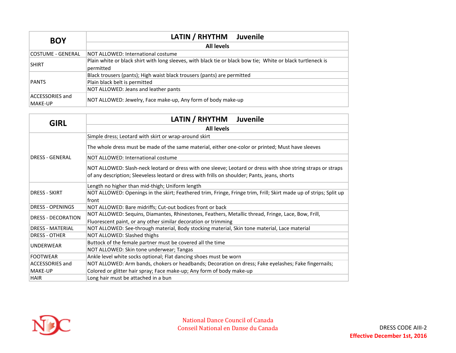| <b>BOY</b>                 | LATIN / RHYTHM<br>Juvenile                                                                                               |  |
|----------------------------|--------------------------------------------------------------------------------------------------------------------------|--|
|                            | <b>All levels</b>                                                                                                        |  |
| COSTUME - GENERAL          | NOT ALLOWED: International costume                                                                                       |  |
| <b>SHIRT</b>               | Plain white or black shirt with long sleeves, with black tie or black bow tie; White or black turtleneck is<br>permitted |  |
|                            | Black trousers (pants); High waist black trousers (pants) are permitted                                                  |  |
| PANTS                      | Plain black belt is permitted                                                                                            |  |
|                            | NOT ALLOWED: Jeans and leather pants                                                                                     |  |
| ACCESSORIES and<br>MAKE-UP | NOT ALLOWED: Jewelry, Face make-up, Any form of body make-up                                                             |  |

| <b>GIRL</b>                                                                                   | LATIN / RHYTHM Juvenile                                                                                           |  |  |
|-----------------------------------------------------------------------------------------------|-------------------------------------------------------------------------------------------------------------------|--|--|
|                                                                                               | <b>All levels</b>                                                                                                 |  |  |
|                                                                                               | Simple dress; Leotard with skirt or wrap-around skirt                                                             |  |  |
|                                                                                               | The whole dress must be made of the same material, either one-color or printed; Must have sleeves                 |  |  |
| <b>DRESS - GENERAL</b>                                                                        | NOT ALLOWED: International costume                                                                                |  |  |
|                                                                                               | NOT ALLOWED: Slash-neck leotard or dress with one sleeve; Leotard or dress with shoe string straps or straps      |  |  |
| of any description; Sleeveless leotard or dress with frills on shoulder; Pants, jeans, shorts |                                                                                                                   |  |  |
|                                                                                               | Length no higher than mid-thigh; Uniform length                                                                   |  |  |
| <b>DRESS - SKIRT</b>                                                                          | NOT ALLOWED: Openings in the skirt; Feathered trim, Fringe, Fringe trim, Frill; Skirt made up of strips; Split up |  |  |
|                                                                                               | front                                                                                                             |  |  |
| <b>DRESS - OPENINGS</b>                                                                       | NOT ALLOWED: Bare midriffs; Cut-out bodices front or back                                                         |  |  |
|                                                                                               | NOT ALLOWED: Sequins, Diamantes, Rhinestones, Feathers, Metallic thread, Fringe, Lace, Bow, Frill,                |  |  |
| <b>DRESS - DECORATION</b>                                                                     | Fluorescent paint, or any other similar decoration or trimming                                                    |  |  |
| <b>DRESS - MATERIAL</b>                                                                       | NOT ALLOWED: See-through material, Body stocking material, Skin tone material, Lace material                      |  |  |
| <b>DRESS - OTHER</b>                                                                          | NOT ALLOWED: Slashed thighs                                                                                       |  |  |
|                                                                                               | Buttock of the female partner must be covered all the time                                                        |  |  |
| <b>UNDERWEAR</b>                                                                              | NOT ALLOWED: Skin tone underwear; Tangas                                                                          |  |  |
| <b>FOOTWEAR</b>                                                                               | Ankle level white socks optional; Flat dancing shoes must be worn                                                 |  |  |
| <b>ACCESSORIES and</b>                                                                        | NOT ALLOWED: Arm bands, chokers or headbands; Decoration on dress; Fake eyelashes; Fake fingernails;              |  |  |
| MAKE-UP                                                                                       | Colored or glitter hair spray; Face make-up; Any form of body make-up                                             |  |  |
| <b>HAIR</b>                                                                                   | Long hair must be attached in a bun                                                                               |  |  |

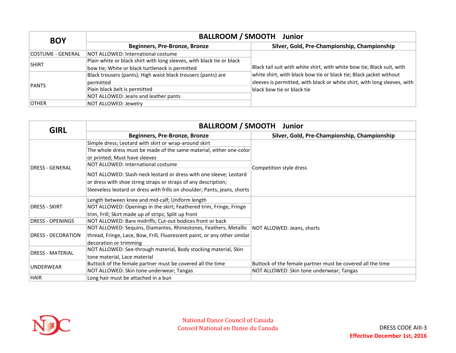| <b>BOY</b>        | <b>BALLROOM / SMOOTH Junior</b>                                       |                                                                                                                                              |  |
|-------------------|-----------------------------------------------------------------------|----------------------------------------------------------------------------------------------------------------------------------------------|--|
|                   | Beginners, Pre-Bronze, Bronze                                         | Silver, Gold, Pre-Championship, Championship                                                                                                 |  |
| COSTUME - GENERAL | NOT ALLOWED: International costume                                    |                                                                                                                                              |  |
| <b>SHIRT</b>      | Plain white or black shirt with long sleeves, with black tie or black |                                                                                                                                              |  |
|                   | bow tie; White or black turtleneck is permitted                       | Black tail suit with white shirt, with white bow tie; Black suit, with<br>white shirt, with black bow tie or black tie; Black jacket without |  |
| <b>PANTS</b>      | Black trousers (pants); High waist black trousers (pants) are         |                                                                                                                                              |  |
|                   | permitted                                                             | sleeves is permitted, with black or white shirt, with long sleeves, with<br>black bow tie or black tie                                       |  |
|                   | Plain black belt is permitted                                         |                                                                                                                                              |  |
|                   | NOT ALLOWED: Jeans and leather pants                                  |                                                                                                                                              |  |
| <b>OTHER</b>      | NOT ALLOWED: Jewelry                                                  |                                                                                                                                              |  |

| <b>GIRL</b>               | <b>BALLROOM / SMOOTH Junior</b>                                                               |                                                            |  |
|---------------------------|-----------------------------------------------------------------------------------------------|------------------------------------------------------------|--|
|                           | Beginners, Pre-Bronze, Bronze                                                                 | Silver, Gold, Pre-Championship, Championship               |  |
|                           | Simple dress; Leotard with skirt or wrap-around skirt                                         |                                                            |  |
|                           | The whole dress must be made of the same material, either one-color                           |                                                            |  |
|                           | or printed; Must have sleeves                                                                 |                                                            |  |
| <b>DRESS - GENERAL</b>    | NOT ALLOWED: International costume                                                            | Competition style dress                                    |  |
|                           | NOT ALLOWED: Slash-neck leotard or dress with one sleeve; Leotard                             |                                                            |  |
|                           | or dress with shoe string straps or straps of any description;                                |                                                            |  |
|                           | Sleeveless leotard or dress with frills on shoulder; Pants, jeans, shorts                     |                                                            |  |
|                           | Length between knee and mid-calf; Uniform length                                              |                                                            |  |
| <b>DRESS - SKIRT</b>      | NOT ALLOWED: Openings in the skirt; Feathered trim, Fringe, Fringe                            |                                                            |  |
|                           | trim, Frill; Skirt made up of strips; Split up front                                          |                                                            |  |
| <b>DRESS - OPENINGS</b>   | NOT ALLOWED: Bare midriffs; Cut-out bodices front or back                                     |                                                            |  |
|                           | NOT ALLOWED: Sequins, Diamantes, Rhinestones, Feathers, Metallic   NOT ALLOWED: Jeans, shorts |                                                            |  |
| <b>DRESS - DECORATION</b> | thread, Fringe, Lace, Bow, Frill, Fluorescent paint, or any other similar                     |                                                            |  |
|                           | decoration or trimming                                                                        |                                                            |  |
| <b>DRESS - MATERIAL</b>   | NOT ALLOWED: See-through material, Body stocking material, Skin                               |                                                            |  |
|                           | tone material, Lace material                                                                  |                                                            |  |
| <b>UNDERWEAR</b>          | Buttock of the female partner must be covered all the time                                    | Buttock of the female partner must be covered all the time |  |
|                           | NOT ALLOWED: Skin tone underwear; Tangas                                                      | NOT ALLOWED: Skin tone underwear; Tangas                   |  |
| <b>HAIR</b>               | Long hair must be attached in a bun                                                           |                                                            |  |

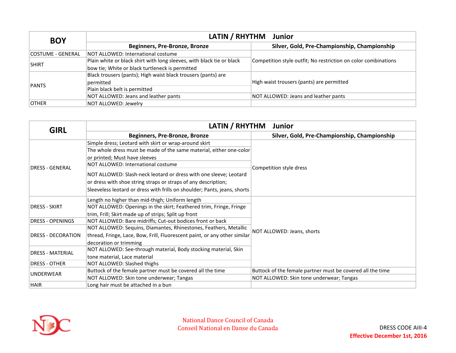| <b>BOY</b>        | LATIN / RHYTHM Junior                                                 |                                                                |  |
|-------------------|-----------------------------------------------------------------------|----------------------------------------------------------------|--|
|                   | Beginners, Pre-Bronze, Bronze                                         | Silver, Gold, Pre-Championship, Championship                   |  |
| COSTUME - GENERAL | NOT ALLOWED: International costume                                    |                                                                |  |
| <b>SHIRT</b>      | Plain white or black shirt with long sleeves, with black tie or black | Competition style outfit; No restriction on color combinations |  |
|                   | bow tie; White or black turtleneck is permitted                       |                                                                |  |
|                   | Black trousers (pants); High waist black trousers (pants) are         | High waist trousers (pants) are permitted                      |  |
| <b>PANTS</b>      | permitted                                                             |                                                                |  |
|                   | Plain black belt is permitted                                         |                                                                |  |
|                   | NOT ALLOWED: Jeans and leather pants                                  | NOT ALLOWED: Jeans and leather pants                           |  |
| <b>OTHER</b>      | NOT ALLOWED: Jewelry                                                  |                                                                |  |

| <b>GIRL</b>               | LATIN / RHYTHM<br><b>Junior</b>                                           |                                                            |  |
|---------------------------|---------------------------------------------------------------------------|------------------------------------------------------------|--|
|                           | Beginners, Pre-Bronze, Bronze                                             | Silver, Gold, Pre-Championship, Championship               |  |
|                           | Simple dress; Leotard with skirt or wrap-around skirt                     |                                                            |  |
|                           | The whole dress must be made of the same material, either one-color       |                                                            |  |
|                           | or printed; Must have sleeves                                             |                                                            |  |
| <b>DRESS - GENERAL</b>    | NOT ALLOWED: International costume                                        | Competition style dress                                    |  |
|                           | NOT ALLOWED: Slash-neck leotard or dress with one sleeve; Leotard         |                                                            |  |
|                           | or dress with shoe string straps or straps of any description;            |                                                            |  |
|                           | Sleeveless leotard or dress with frills on shoulder; Pants, jeans, shorts |                                                            |  |
|                           | Length no higher than mid-thigh; Uniform length                           |                                                            |  |
| <b>DRESS - SKIRT</b>      | NOT ALLOWED: Openings in the skirt; Feathered trim, Fringe, Fringe        |                                                            |  |
|                           | trim, Frill; Skirt made up of strips; Split up front                      |                                                            |  |
| <b>DRESS - OPENINGS</b>   | NOT ALLOWED: Bare midriffs; Cut-out bodices front or back                 |                                                            |  |
|                           | NOT ALLOWED: Sequins, Diamantes, Rhinestones, Feathers, Metallic          | NOT ALLOWED: Jeans, shorts                                 |  |
| <b>DRESS - DECORATION</b> | thread, Fringe, Lace, Bow, Frill, Fluorescent paint, or any other similar |                                                            |  |
|                           | decoration or trimming                                                    |                                                            |  |
| <b>DRESS - MATERIAL</b>   | NOT ALLOWED: See-through material, Body stocking material, Skin           |                                                            |  |
|                           | tone material, Lace material                                              |                                                            |  |
| <b>DRESS - OTHER</b>      | NOT ALLOWED: Slashed thighs                                               |                                                            |  |
| <b>UNDERWEAR</b>          | Buttock of the female partner must be covered all the time                | Buttock of the female partner must be covered all the time |  |
|                           | NOT ALLOWED: Skin tone underwear; Tangas                                  | NOT ALLOWED: Skin tone underwear; Tangas                   |  |
| <b>HAIR</b>               | Long hair must be attached in a bun                                       |                                                            |  |

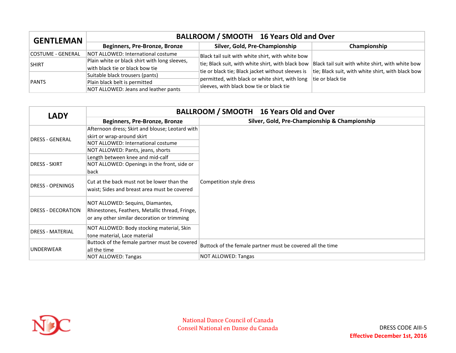| <b>GENTLEMAN</b>  | BALLROOM / SMOOTH 16 Years Old and Over       |                                                   |                                                                                                                                                          |
|-------------------|-----------------------------------------------|---------------------------------------------------|----------------------------------------------------------------------------------------------------------------------------------------------------------|
|                   | Beginners, Pre-Bronze, Bronze                 | Silver, Gold, Pre-Championship                    | Championship                                                                                                                                             |
| COSTUME - GENERAL | NOT ALLOWED: International costume            | Black tail suit with white shirt, with white bow  |                                                                                                                                                          |
| <b>SHIRT</b>      | Plain white or black shirt with long sleeves, |                                                   | tie; Black suit, with white shirt, with black bow  Black tail suit with white shirt, with white bow<br>tie; Black suit, with white shirt, with black bow |
|                   | with black tie or black bow tie               | tie or black tie; Black jacket without sleeves is |                                                                                                                                                          |
| PANTS             | Suitable black trousers (pants)               | permitted, with black or white shirt, with long   | tie or black tie                                                                                                                                         |
|                   | Plain black belt is permitted                 |                                                   |                                                                                                                                                          |
|                   | NOT ALLOWED: Jeans and leather pants          | sleeves, with black bow tie or black tie          |                                                                                                                                                          |

| <b>LADY</b>               | BALLROOM / SMOOTH 16 Years Old and Over         |                                                            |  |  |
|---------------------------|-------------------------------------------------|------------------------------------------------------------|--|--|
|                           | Beginners, Pre-Bronze, Bronze                   | Silver, Gold, Pre-Championship & Championship              |  |  |
|                           | Afternoon dress; Skirt and blouse; Leotard with |                                                            |  |  |
| <b>DRESS - GENERAL</b>    | skirt or wrap-around skirt                      |                                                            |  |  |
|                           | NOT ALLOWED: International costume              |                                                            |  |  |
|                           | NOT ALLOWED: Pants, jeans, shorts               |                                                            |  |  |
|                           | Length between knee and mid-calf                |                                                            |  |  |
| <b>DRESS - SKIRT</b>      | NOT ALLOWED: Openings in the front, side or     | Competition style dress                                    |  |  |
|                           | back                                            |                                                            |  |  |
|                           | Cut at the back must not be lower than the      |                                                            |  |  |
| <b>DRESS - OPENINGS</b>   | waist; Sides and breast area must be covered    |                                                            |  |  |
|                           |                                                 |                                                            |  |  |
|                           | NOT ALLOWED: Sequins, Diamantes,                |                                                            |  |  |
| <b>DRESS - DECORATION</b> | Rhinestones, Feathers, Metallic thread, Fringe, |                                                            |  |  |
|                           | or any other similar decoration or trimming     |                                                            |  |  |
|                           |                                                 |                                                            |  |  |
| <b>DRESS - MATERIAL</b>   | NOT ALLOWED: Body stocking material, Skin       |                                                            |  |  |
|                           | tone material, Lace material                    |                                                            |  |  |
|                           | Buttock of the female partner must be covered   | Buttock of the female partner must be covered all the time |  |  |
| <b>UNDERWEAR</b>          | all the time                                    |                                                            |  |  |
|                           | NOT ALLOWED: Tangas                             | NOT ALLOWED: Tangas                                        |  |  |